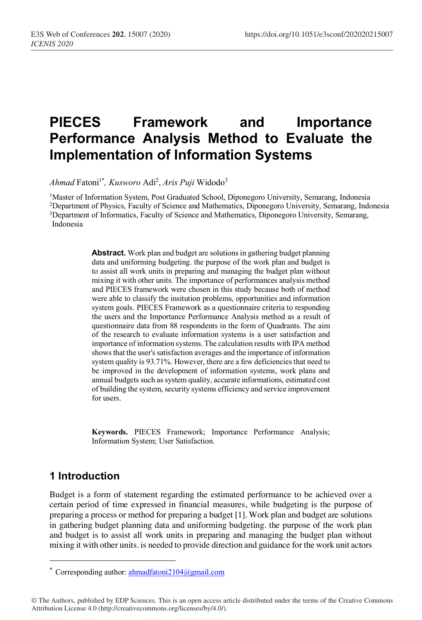# **PIECES Framework and Importance Performance Analysis Method to Evaluate the Implementation of Information Systems**

*Ahmad* Fatoni1\* *, Kusworo* Adi2 , *Aris Puji* Widodo3

1 Master of Information System, Post Graduated School, Diponegoro University, Semarang, Indonesia

2Department of Physics, Faculty of Science and Mathematics, Diponegoro University, Semarang, Indonesia

3 Department of Informatics, Faculty of Science and Mathematics, Diponegoro University, Semarang, Indonesia

> **Abstract.** Work plan and budget are solutions in gathering budget planning data and uniforming budgeting. the purpose of the work plan and budget is to assist all work units in preparing and managing the budget plan without mixing it with other units. The importance of performances analysis method and PIECES framework were chosen in this study because both of method were able to classify the insitution problems, opportunities and information system goals. PIECES Framework as a questionnaire criteria to responding the users and the Importance Performance Analysis method as a result of questionnaire data from 88 respondents in the form of Quadrants. The aim of the research to evaluate information systems is a user satisfaction and importance of information systems. The calculation results with IPA method shows that the user's satisfaction averages and the importance of information system quality is 93.71%. However, there are a few deficiencies that need to be improved in the development of information systems, work plans and annual budgets such as system quality, accurate informations, estimated cost of building the system, security systems efficiency and service improvement for users.

> **Keywords.** PIECES Framework; Importance Performance Analysis; Information System; User Satisfaction.

## **1 Introduction**

I

Budget is a form of statement regarding the estimated performance to be achieved over a certain period of time expressed in financial measures, while budgeting is the purpose of preparing a process or method for preparing a budget [1]. Work plan and budget are solutions in gathering budget planning data and uniforming budgeting. the purpose of the work plan and budget is to assist all work units in preparing and managing the budget plan without mixing it with other units. is needed to provide direction and guidance for the work unit actors

<sup>\*</sup> Corresponding author:  $\frac{1000 \text{ m}}{2104 \text{ m}}$ 

<sup>©</sup> The Authors, published by EDP Sciences. This is an open access article distributed under the terms of the Creative Commons Attribution License 4.0 (http://creativecommons.org/licenses/by/4.0/).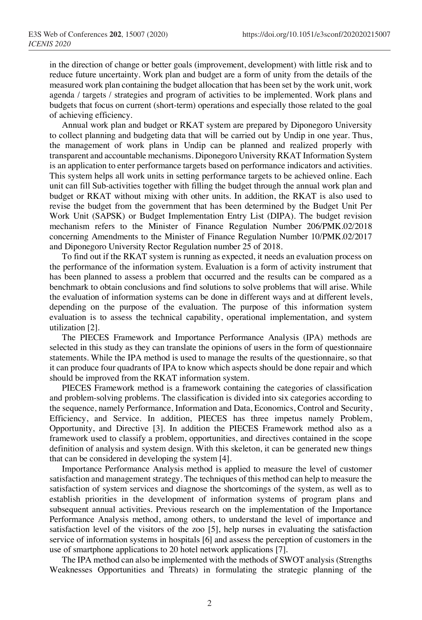in the direction of change or better goals (improvement, development) with little risk and to reduce future uncertainty. Work plan and budget are a form of unity from the details of the measured work plan containing the budget allocation that has been set by the work unit, work agenda / targets / strategies and program of activities to be implemented. Work plans and budgets that focus on current (short-term) operations and especially those related to the goal of achieving efficiency.

Annual work plan and budget or RKAT system are prepared by Diponegoro University to collect planning and budgeting data that will be carried out by Undip in one year. Thus, the management of work plans in Undip can be planned and realized properly with transparent and accountable mechanisms. Diponegoro University RKAT Information System is an application to enter performance targets based on performance indicators and activities. This system helps all work units in setting performance targets to be achieved online. Each unit can fill Sub-activities together with filling the budget through the annual work plan and budget or RKAT without mixing with other units. In addition, the RKAT is also used to revise the budget from the government that has been determined by the Budget Unit Per Work Unit (SAPSK) or Budget Implementation Entry List (DIPA). The budget revision mechanism refers to the Minister of Finance Regulation Number 206/PMK.02/2018 concerning Amendments to the Minister of Finance Regulation Number 10/PMK.02/2017 and Diponegoro University Rector Regulation number 25 of 2018.

To find out if the RKAT system is running as expected, it needs an evaluation process on the performance of the information system. Evaluation is a form of activity instrument that has been planned to assess a problem that occurred and the results can be compared as a benchmark to obtain conclusions and find solutions to solve problems that will arise. While the evaluation of information systems can be done in different ways and at different levels, depending on the purpose of the evaluation. The purpose of this information system evaluation is to assess the technical capability, operational implementation, and system utilization [2].

The PIECES Framework and Importance Performance Analysis (IPA) methods are selected in this study as they can translate the opinions of users in the form of questionnaire statements. While the IPA method is used to manage the results of the questionnaire, so that it can produce four quadrants of IPA to know which aspects should be done repair and which should be improved from the RKAT information system.

PIECES Framework method is a framework containing the categories of classification and problem-solving problems. The classification is divided into six categories according to the sequence, namely Performance, Information and Data, Economics, Control and Security, Efficiency, and Service. In addition, PIECES has three impetus namely Problem, Opportunity, and Directive [3]. In addition the PIECES Framework method also as a framework used to classify a problem, opportunities, and directives contained in the scope definition of analysis and system design. With this skeleton, it can be generated new things that can be considered in developing the system [4].

Importance Performance Analysis method is applied to measure the level of customer satisfaction and management strategy. The techniques of this method can help to measure the satisfaction of system services and diagnose the shortcomings of the system, as well as to establish priorities in the development of information systems of program plans and subsequent annual activities. Previous research on the implementation of the Importance Performance Analysis method, among others, to understand the level of importance and satisfaction level of the visitors of the zoo [5], help nurses in evaluating the satisfaction service of information systems in hospitals [6] and assess the perception of customers in the use of smartphone applications to 20 hotel network applications [7].

The IPA method can also be implemented with the methods of SWOT analysis (Strengths Weaknesses Opportunities and Threats) in formulating the strategic planning of the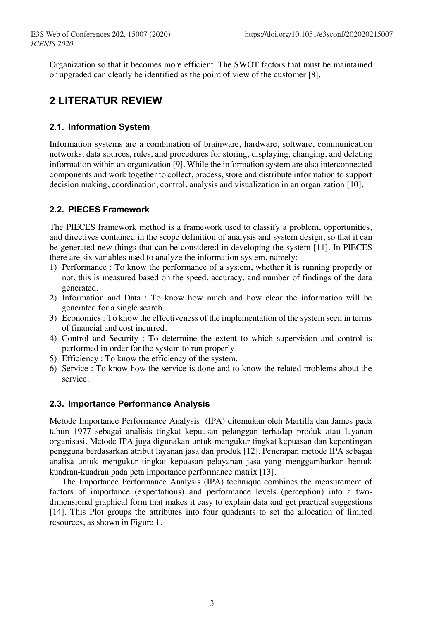Organization so that it becomes more efficient. The SWOT factors that must be maintained or upgraded can clearly be identified as the point of view of the customer [8].

## **2 LITERATUR REVIEW**

#### **2.1. Information System**

Information systems are a combination of brainware, hardware, software, communication networks, data sources, rules, and procedures for storing, displaying, changing, and deleting information within an organization [9]. While the information system are also interconnected components and work together to collect, process, store and distribute information to support decision making, coordination, control, analysis and visualization in an organization [10].

### **2.2. PIECES Framework**

The PIECES framework method is a framework used to classify a problem, opportunities, and directives contained in the scope definition of analysis and system design, so that it can be generated new things that can be considered in developing the system [11]. In PIECES there are six variables used to analyze the information system, namely:

- 1) Performance : To know the performance of a system, whether it is running properly or not, this is measured based on the speed, accuracy, and number of findings of the data generated.
- 2) Information and Data : To know how much and how clear the information will be generated for a single search.
- 3) Economics : To know the effectiveness of the implementation of the system seen in terms of financial and cost incurred.
- 4) Control and Security : To determine the extent to which supervision and control is performed in order for the system to run properly.
- 5) Efficiency : To know the efficiency of the system.
- 6) Service : To know how the service is done and to know the related problems about the service.

#### **2.3. Importance Performance Analysis**

Metode Importance Performance Analysis (IPA) ditemukan oleh Martilla dan James pada tahun 1977 sebagai analisis tingkat kepuasan pelanggan terhadap produk atau layanan organisasi. Metode IPA juga digunakan untuk mengukur tingkat kepuasan dan kepentingan pengguna berdasarkan atribut layanan jasa dan produk [12]. Penerapan metode IPA sebagai analisa untuk mengukur tingkat kepuasan pelayanan jasa yang menggambarkan bentuk kuadran-kuadran pada peta importance performance matrix [13].

The Importance Performance Analysis (IPA) technique combines the measurement of factors of importance (expectations) and performance levels (perception) into a twodimensional graphical form that makes it easy to explain data and get practical suggestions [14]. This Plot groups the attributes into four quadrants to set the allocation of limited resources, as shown in Figure 1.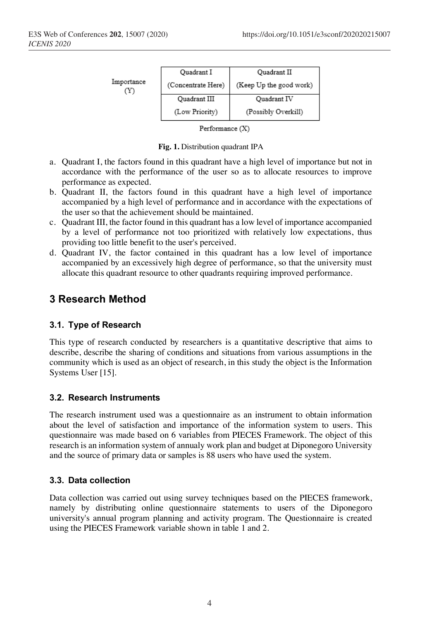|                   | Quadrant I         | Quadrant II             |
|-------------------|--------------------|-------------------------|
| Importance<br>'Y. | (Concentrate Here) | (Keep Up the good work) |
|                   | Quadrant III       | Ouadrant IV             |
|                   | (Low Priority)     | (Possibly Overkill)     |

Performance (X)

**Fig. 1.** Distribution quadrant IPA

- a. Quadrant I, the factors found in this quadrant have a high level of importance but not in accordance with the performance of the user so as to allocate resources to improve performance as expected.
- b. Quadrant II, the factors found in this quadrant have a high level of importance accompanied by a high level of performance and in accordance with the expectations of the user so that the achievement should be maintained.
- c. Quadrant III, the factor found in this quadrant has a low level of importance accompanied by a level of performance not too prioritized with relatively low expectations, thus providing too little benefit to the user's perceived.
- d. Quadrant IV, the factor contained in this quadrant has a low level of importance accompanied by an excessively high degree of performance, so that the university must allocate this quadrant resource to other quadrants requiring improved performance.

### **3 Research Method**

### **3.1. Type of Research**

This type of research conducted by researchers is a quantitative descriptive that aims to describe, describe the sharing of conditions and situations from various assumptions in the community which is used as an object of research, in this study the object is the Information Systems User [15].

#### **3.2. Research Instruments**

The research instrument used was a questionnaire as an instrument to obtain information about the level of satisfaction and importance of the information system to users. This questionnaire was made based on 6 variables from PIECES Framework. The object of this research is an information system of annualy work plan and budget at Diponegoro University and the source of primary data or samples is 88 users who have used the system.

#### **3.3. Data collection**

Data collection was carried out using survey techniques based on the PIECES framework, namely by distributing online questionnaire statements to users of the Diponegoro university's annual program planning and activity program. The Questionnaire is created using the PIECES Framework variable shown in table 1 and 2.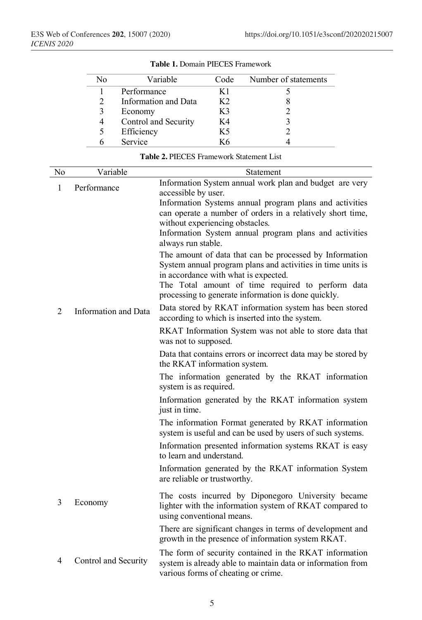| No | Variable             | Code | Number of statements |
|----|----------------------|------|----------------------|
|    | Performance          | K 1  |                      |
|    | Information and Data | K2   |                      |
| 3  | Economy              | K3   |                      |
| 4  | Control and Security | K4   |                      |
|    | Efficiency           | K5   |                      |
|    | Service              | K6   |                      |

#### **Table 1.** Domain PIECES Framework

| No             | Variable             | Statement                                                                                                          |
|----------------|----------------------|--------------------------------------------------------------------------------------------------------------------|
| 1              | Performance          | Information System annual work plan and budget are very                                                            |
|                |                      | accessible by user.                                                                                                |
|                |                      | Information Systems annual program plans and activities                                                            |
|                |                      | can operate a number of orders in a relatively short time,                                                         |
|                |                      | without experiencing obstacles.                                                                                    |
|                |                      | Information System annual program plans and activities                                                             |
|                |                      | always run stable.                                                                                                 |
|                |                      | The amount of data that can be processed by Information                                                            |
|                |                      | System annual program plans and activities in time units is                                                        |
|                |                      | in accordance with what is expected.                                                                               |
|                |                      | The Total amount of time required to perform data                                                                  |
|                |                      | processing to generate information is done quickly.                                                                |
| 2              | Information and Data | Data stored by RKAT information system has been stored<br>according to which is inserted into the system.          |
|                |                      | RKAT Information System was not able to store data that                                                            |
|                |                      | was not to supposed.                                                                                               |
|                |                      | Data that contains errors or incorrect data may be stored by                                                       |
|                |                      | the RKAT information system.                                                                                       |
|                |                      | The information generated by the RKAT information<br>system is as required.                                        |
|                |                      | Information generated by the RKAT information system<br>just in time.                                              |
|                |                      | The information Format generated by RKAT information<br>system is useful and can be used by users of such systems. |
|                |                      | Information presented information systems RKAT is easy<br>to learn and understand.                                 |
|                |                      | Information generated by the RKAT information System                                                               |
|                |                      | are reliable or trustworthy.                                                                                       |
|                |                      | The costs incurred by Diponegoro University became                                                                 |
| 3              | Economy              | lighter with the information system of RKAT compared to                                                            |
|                |                      | using conventional means.                                                                                          |
|                |                      | There are significant changes in terms of development and                                                          |
|                |                      | growth in the presence of information system RKAT.                                                                 |
|                |                      | The form of security contained in the RKAT information                                                             |
| $\overline{4}$ | Control and Security | system is already able to maintain data or information from                                                        |
|                |                      | various forms of cheating or crime.                                                                                |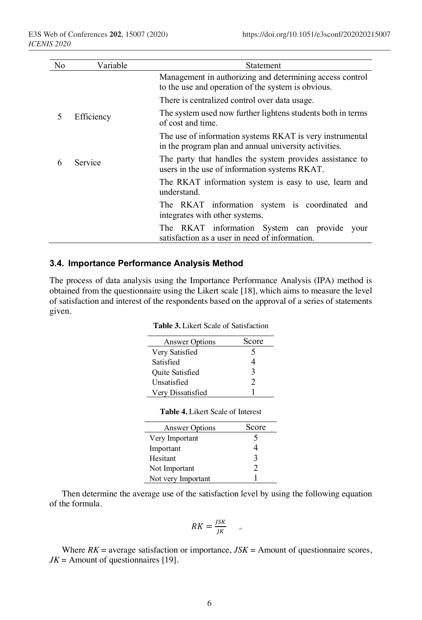| No. | Variable   | <b>Statement</b>                                                                                                  |  |
|-----|------------|-------------------------------------------------------------------------------------------------------------------|--|
|     |            | Management in authorizing and determining access control<br>to the use and operation of the system is obvious.    |  |
|     |            | There is centralized control over data usage.                                                                     |  |
| 5   | Efficiency | The system used now further lightens students both in terms<br>of cost and time.                                  |  |
|     |            | The use of information systems RKAT is very instrumental<br>in the program plan and annual university activities. |  |
| 6   | Service    | The party that handles the system provides assistance to<br>users in the use of information systems RKAT.         |  |
|     |            | The RKAT information system is easy to use, learn and<br>understand                                               |  |
|     |            | The RKAT information system is coordinated<br>and<br>integrates with other systems.                               |  |
|     |            | The RKAT information System can provide<br>vour<br>satisfaction as a user in need of information.                 |  |

#### **3.4. Importance Performance Analysis Method**

The process of data analysis using the Importance Performance Analysis (IPA) method is obtained from the questionnaire using the Likert scale [18], which aims to measure the level of satisfaction and interest of the respondents based on the approval of a series of statements given.

| <b>Table 3.</b> Likert Scale of Satisfaction |  |
|----------------------------------------------|--|
|----------------------------------------------|--|

| <b>Answer Options</b>  | Score |
|------------------------|-------|
| Very Satisfied         | 5     |
| Satisfied              |       |
| <b>Ouite Satisfied</b> | 3     |
| Unsatisfied            | 2     |
| Very Dissatisfied      |       |

| <b>Table 4.</b> Likert Scale of Interest |
|------------------------------------------|
|------------------------------------------|

| <b>Answer Options</b> | Score |
|-----------------------|-------|
| Very Important        | 5     |
| Important             |       |
| Hesitant              | 3     |
| Not Important         | 2     |
| Not very Important    |       |

Then determine the average use of the satisfaction level by using the following equation of the formula.

$$
RK = \frac{JSK}{JK}
$$

Where  $RK = \text{average satisfaction or importance}, JSK = \text{Amount of questionnaire scores},$  $JK =$  Amount of questionnaires [19].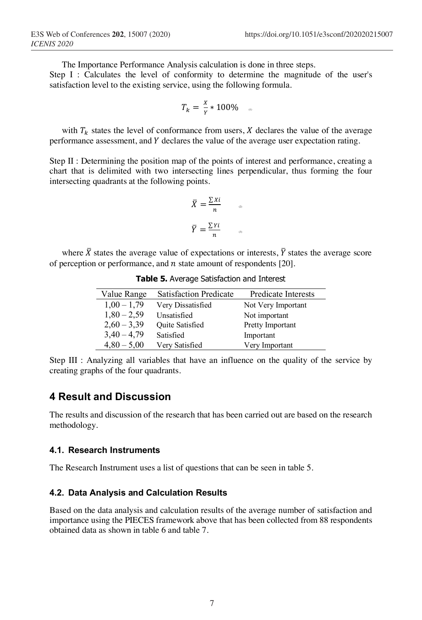The Importance Performance Analysis calculation is done in three steps.

Step I : Calculates the level of conformity to determine the magnitude of the user's satisfaction level to the existing service, using the following formula.

$$
T_k = \frac{x}{Y} * 100\% \quad \text{a}
$$

with  $T_k$  states the level of conformance from users,  $X$  declares the value of the average performance assessment, and Y declares the value of the average user expectation rating.

Step II : Determining the position map of the points of interest and performance, creating a chart that is delimited with two intersecting lines perpendicular, thus forming the four intersecting quadrants at the following points.

$$
\bar{X} = \frac{\sum x_i}{n} \qquad \Box
$$

$$
\bar{Y} = \frac{\sum Y_i}{n} \qquad \Box
$$

where  $\bar{X}$  states the average value of expectations or interests,  $\bar{Y}$  states the average score of perception or performance, and  $n$  state amount of respondents [20].

| Value Range   | <b>Satisfaction Predicate</b> | Predicate Interests |
|---------------|-------------------------------|---------------------|
| $1,00 - 1,79$ | Very Dissatisfied             | Not Very Important  |
| $1,80 - 2,59$ | Unsatisfied                   | Not important       |
| $2,60 - 3,39$ | <b>Ouite Satisfied</b>        | Pretty Important    |
| $3,40 - 4,79$ | Satisfied                     | Important           |
| $4,80 - 5,00$ | Very Satisfied                | Very Important      |

**Table 5.** Average Satisfaction and Interest

Step III : Analyzing all variables that have an influence on the quality of the service by creating graphs of the four quadrants.

### **4 Result and Discussion**

The results and discussion of the research that has been carried out are based on the research methodology.

#### **4.1. Research Instruments**

The Research Instrument uses a list of questions that can be seen in table 5.

#### **4.2. Data Analysis and Calculation Results**

Based on the data analysis and calculation results of the average number of satisfaction and importance using the PIECES framework above that has been collected from 88 respondents obtained data as shown in table 6 and table 7.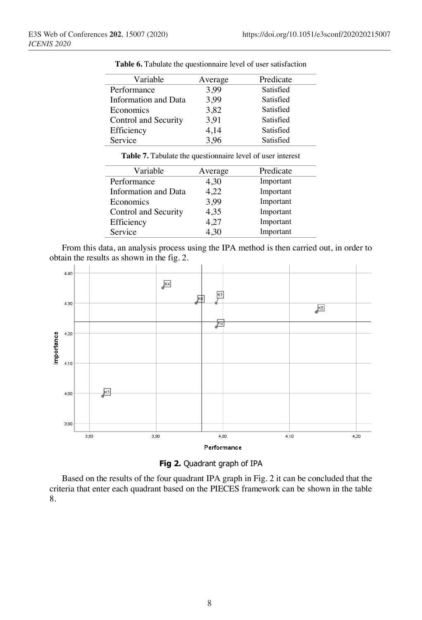| Variable             | Average | Predicate |
|----------------------|---------|-----------|
| Performance          | 3,99    | Satisfied |
| Information and Data | 3,99    | Satisfied |
| Economics            | 3,82    | Satisfied |
| Control and Security | 3,91    | Satisfied |
| Efficiency           | 4,14    | Satisfied |
| Service              | 3,96    | Satisfied |
|                      |         |           |

**Table 6.** Tabulate the questionnaire level of user satisfaction

| Variable             | Average | Predicate |
|----------------------|---------|-----------|
| Performance          | 4,30    | Important |
| Information and Data | 4,22    | Important |
| Economics            | 3,99    | Important |
| Control and Security | 4,35    | Important |
| Efficiency           | 4.27    | Important |
| Service              | 4.30    | Important |

From this data, an analysis process using the IPA method is then carried out, in order to obtain the results as shown in the fig. 2.





Based on the results of the four quadrant IPA graph in Fig. 2 it can be concluded that the criteria that enter each quadrant based on the PIECES framework can be shown in the table 8.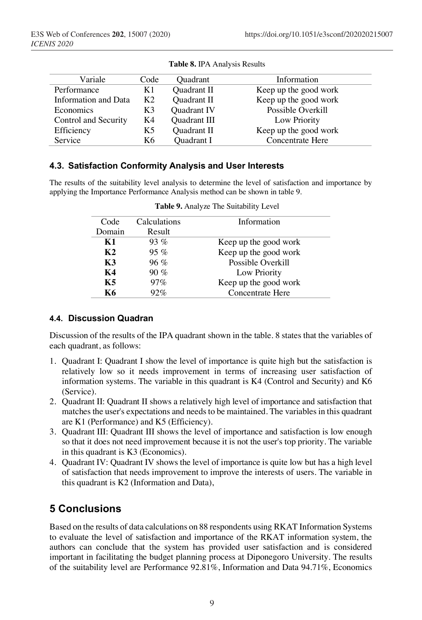| Variale              | Code           | <b>Ouadrant</b>   | Information           |
|----------------------|----------------|-------------------|-----------------------|
| Performance          | K1             | Quadrant II       | Keep up the good work |
| Information and Data | K <sub>2</sub> | Quadrant II       | Keep up the good work |
| Economics            | K3             | Quadrant IV       | Possible Overkill     |
| Control and Security | K4             | Quadrant III      | Low Priority          |
| Efficiency           | K5             | Quadrant II       | Keep up the good work |
| Service              | K6.            | <b>Ouadrant I</b> | Concentrate Here      |

#### **4.3. Satisfaction Conformity Analysis and User Interests**

The results of the suitability level analysis to determine the level of satisfaction and importance by applying the Importance Performance Analysis method can be shown in table 9.

| Code           | Calculations | Information           |
|----------------|--------------|-----------------------|
| Domain         | Result       |                       |
| K1             | $93\%$       | Keep up the good work |
| K <sub>2</sub> | $95\%$       | Keep up the good work |
| K3             | $96\%$       | Possible Overkill     |
| K4             | $90\%$       | Low Priority          |
| K5             | 97%          | Keep up the good work |
| K6             | 92%          | Concentrate Here      |

**Table 9.** Analyze The Suitability Level

#### **4.4. Discussion Quadran**

Discussion of the results of the IPA quadrant shown in the table. 8 states that the variables of each quadrant, as follows:

- 1. Quadrant I: Quadrant I show the level of importance is quite high but the satisfaction is relatively low so it needs improvement in terms of increasing user satisfaction of information systems. The variable in this quadrant is K4 (Control and Security) and K6 (Service).
- 2. Quadrant II: Quadrant II shows a relatively high level of importance and satisfaction that matches the user's expectations and needs to be maintained. The variables in this quadrant are K1 (Performance) and K5 (Efficiency).
- 3. Quadrant III: Quadrant III shows the level of importance and satisfaction is low enough so that it does not need improvement because it is not the user's top priority. The variable in this quadrant is K3 (Economics).
- 4. Quadrant IV: Quadrant IV shows the level of importance is quite low but has a high level of satisfaction that needs improvement to improve the interests of users. The variable in this quadrant is K2 (Information and Data),

# **5 Conclusions**

Based on the results of data calculations on 88 respondents using RKAT Information Systems to evaluate the level of satisfaction and importance of the RKAT information system, the authors can conclude that the system has provided user satisfaction and is considered important in facilitating the budget planning process at Diponegoro University. The results of the suitability level are Performance 92.81%, Information and Data 94.71%, Economics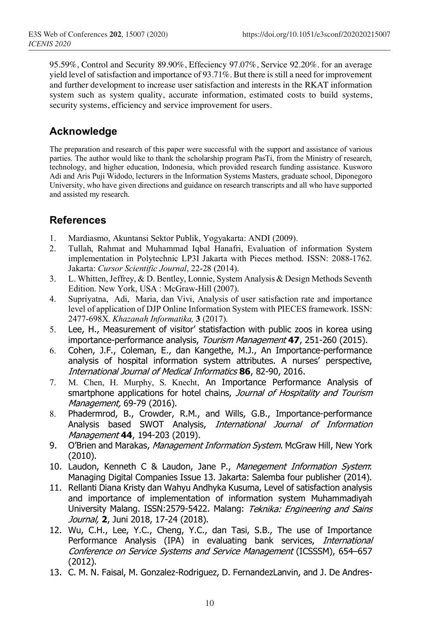95.59%, Control and Security 89.90%, Effeciency 97.07%, Service 92.20%. for an average yield level of satisfaction and importance of 93.71%. But there is still a need for improvement and further development to increase user satisfaction and interests in the RKAT information system such as system quality, accurate information, estimated costs to build systems, security systems, efficiency and service improvement for users.

# **Acknowledge**

The preparation and research of this paper were successful with the support and assistance of various parties. The author would like to thank the scholarship program PasTi, from the Ministry of research, technology, and higher education, Indonesia, which provided research funding assistance. Kusworo Adi and Aris Puji Widodo, lecturers in the Information Systems Masters, graduate school, Diponegoro University, who have given directions and guidance on research transcripts and all who have supported and assisted my research.

## **References**

- 1. Mardiasmo, Akuntansi Sektor Publik, Yogyakarta: ANDI (2009).
- 2. Tullah, Rahmat and Muhammad Iqbal Hanafri, Evaluation of information System implementation in Polytechnic LP3I Jakarta with Pieces method. ISSN: 2088-1762. Jakarta: *Cursor Scientific Journal*, 22-28 (2014).
- 3. L. Whitten, Jeffrey, & D. Bentley, Lonnie, System Analysis & Design Methods Seventh Edition. New York, USA : McGraw-Hill (2007).
- 4. Supriyatna, Adi, Maria, dan Vivi, Analysis of user satisfaction rate and importance level of application of DJP Online Information System with PIECES framework. ISSN: 2477-698X. *Khazanah Informatika,* **3** (2017).
- 5. Lee, H., Measurement of visitor' statisfaction with public zoos in korea using importance-performance analysis, Tourism Management **47**, 251-260 (2015).
- 6. Cohen, J.F., Coleman, E., dan Kangethe, M.J., An Importance-performance analysis of hospital information system attributes. A nurses' perspective, International Journal of Medical Informatics **86**, 82-90, 2016.
- 7. M. Chen, H. Murphy, S. Knecht, An Importance Performance Analysis of smartphone applications for hotel chains, Journal of Hospitality and Tourism Management, 69-79 (2016).
- 8. Phadermrod, B., Crowder, R.M., and Wills, G.B., Importance-performance Analysis based SWOT Analysis, International Journal of Information Management **44**, 194-203 (2019).
- 9. O'Brien and Marakas, Management Information System. McGraw Hill, New York (2010).
- 10. Laudon, Kenneth C & Laudon, Jane P., Manegement Information System: Managing Digital Companies Issue 13. Jakarta: Salemba four publisher (2014).
- 11. Rellanti Diana Kristy dan Wahyu Andhyka Kusuma, Level of satisfaction analysis and importance of implementation of information system Muhammadiyah University Malang. ISSN:2579-5422. Malang: Teknika: Engineering and Sains Journal, **2**, Juni 2018, 17-24 (2018).
- 12. Wu, C.H., Lee, Y.C., Cheng, Y.C., dan Tasi, S.B., The use of Importance Performance Analysis (IPA) in evaluating bank services, International Conference on Service Systems and Service Management (ICSSSM), 654–657 (2012).
- 13. C. M. N. Faisal, M. Gonzalez-Rodriguez, D. FernandezLanvin, and J. De Andres-